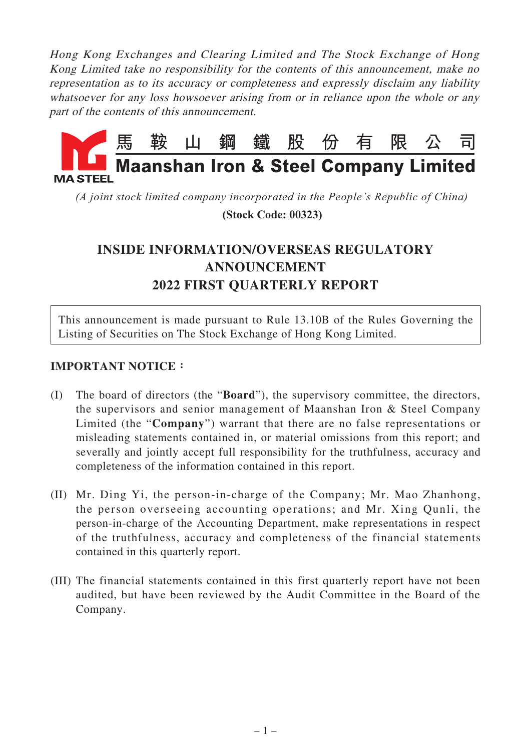Hong Kong Exchanges and Clearing Limited and The Stock Exchange of Hong Kong Limited take no responsibility for the contents of this announcement, make no representation as to its accuracy or completeness and expressly disclaim any liability whatsoever for any loss howsoever arising from or in reliance upon the whole or any part of the contents of this announcement.



*(A joint stock limited company incorporated in the People's Republic of China)*

 **(Stock Code: 00323)**

# **INSIDE INFORMATION/OVERSEAS REGULATORY ANNOUNCEMENT 2022 FIRST QUARTERLY REPORT**

This announcement is made pursuant to Rule 13.10B of the Rules Governing the Listing of Securities on The Stock Exchange of Hong Kong Limited.

## **IMPORTANT NOTICE:**

- (I) The board of directors (the "**Board**"), the supervisory committee, the directors, the supervisors and senior management of Maanshan Iron & Steel Company Limited (the "**Company**") warrant that there are no false representations or misleading statements contained in, or material omissions from this report; and severally and jointly accept full responsibility for the truthfulness, accuracy and completeness of the information contained in this report.
- (II) Mr. Ding Yi, the person-in-charge of the Company; Mr. Mao Zhanhong, the person overseeing accounting operations; and Mr. Xing Qunli, the person-in-charge of the Accounting Department, make representations in respect of the truthfulness, accuracy and completeness of the financial statements contained in this quarterly report.
- (III) The financial statements contained in this first quarterly report have not been audited, but have been reviewed by the Audit Committee in the Board of the Company.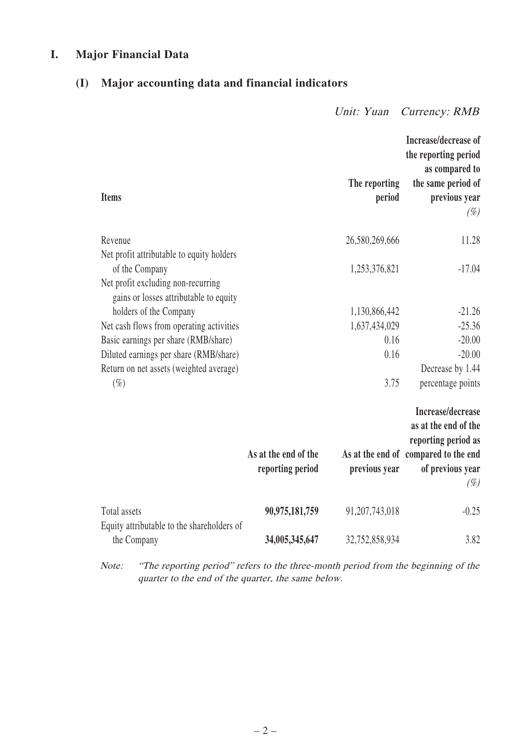## **I. Major Financial Data**

# **(I) Major accounting data and financial indicators**

Unit: Yuan Currency: RMB

|                                                                              |                                          |                         | Increase/decrease of<br>the reporting period<br>as compared to     |
|------------------------------------------------------------------------------|------------------------------------------|-------------------------|--------------------------------------------------------------------|
| <b>Items</b>                                                                 |                                          | The reporting<br>period | the same period of<br>previous year<br>$(\%)$                      |
| Revenue                                                                      |                                          | 26,580,269,666          | 11.28                                                              |
| Net profit attributable to equity holders<br>of the Company                  |                                          | 1,253,376,821           | $-17.04$                                                           |
| Net profit excluding non-recurring<br>gains or losses attributable to equity |                                          |                         |                                                                    |
| holders of the Company                                                       |                                          | 1,130,866,442           | $-21.26$                                                           |
| Net cash flows from operating activities                                     |                                          | 1,637,434,029           | $-25.36$                                                           |
| Basic earnings per share (RMB/share)                                         |                                          | 0.16                    | $-20.00$                                                           |
| Diluted earnings per share (RMB/share)                                       |                                          | 0.16                    | $-20.00$                                                           |
| Return on net assets (weighted average)                                      |                                          |                         | Decrease by 1.44                                                   |
| $(\%)$                                                                       |                                          | 3.75                    | percentage points                                                  |
|                                                                              |                                          |                         | Increase/decrease<br>as at the end of the<br>reporting period as   |
|                                                                              | As at the end of the<br>reporting period | previous year           | As at the end of compared to the end<br>of previous year<br>$(\%)$ |
| Total assets<br>Equity attributable to the shareholders of                   | 90,975,181,759                           | 91,207,743,018          | $-0.25$                                                            |
| the Company                                                                  | 34,005,345,647                           | 32,752,858,934          | 3.82                                                               |

Note: "The reporting period" refers to the three-month period from the beginning of the quarter to the end of the quarter, the same below.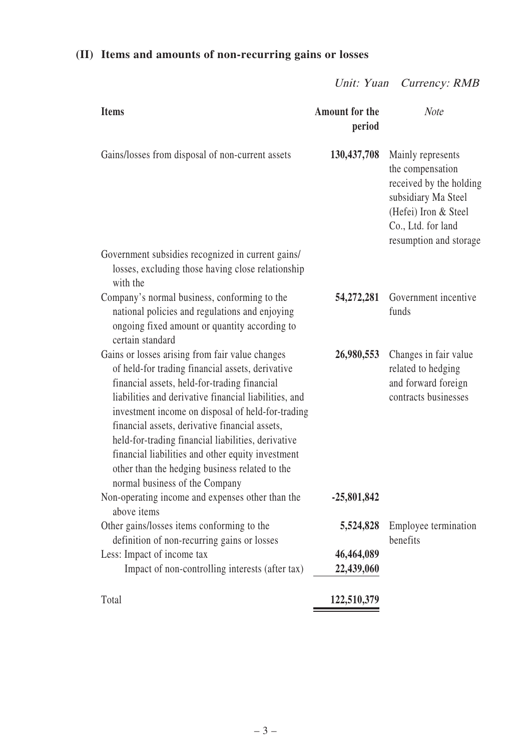# **(II) Items and amounts of non-recurring gains or losses**

Unit: Yuan Currency: RMB

| <b>Items</b>                                                                                                                                                                                                                                                                                                                                                                                                                                                                                                       | <b>Amount for the</b><br>period       | <b>Note</b>                                                                                                                                                     |
|--------------------------------------------------------------------------------------------------------------------------------------------------------------------------------------------------------------------------------------------------------------------------------------------------------------------------------------------------------------------------------------------------------------------------------------------------------------------------------------------------------------------|---------------------------------------|-----------------------------------------------------------------------------------------------------------------------------------------------------------------|
| Gains/losses from disposal of non-current assets                                                                                                                                                                                                                                                                                                                                                                                                                                                                   | 130, 437, 708                         | Mainly represents<br>the compensation<br>received by the holding<br>subsidiary Ma Steel<br>(Hefei) Iron & Steel<br>Co., Ltd. for land<br>resumption and storage |
| Government subsidies recognized in current gains/<br>losses, excluding those having close relationship<br>with the                                                                                                                                                                                                                                                                                                                                                                                                 |                                       |                                                                                                                                                                 |
| Company's normal business, conforming to the<br>national policies and regulations and enjoying<br>ongoing fixed amount or quantity according to<br>certain standard                                                                                                                                                                                                                                                                                                                                                | 54,272,281                            | Government incentive<br>funds                                                                                                                                   |
| Gains or losses arising from fair value changes<br>of held-for trading financial assets, derivative<br>financial assets, held-for-trading financial<br>liabilities and derivative financial liabilities, and<br>investment income on disposal of held-for-trading<br>financial assets, derivative financial assets,<br>held-for-trading financial liabilities, derivative<br>financial liabilities and other equity investment<br>other than the hedging business related to the<br>normal business of the Company | 26,980,553                            | Changes in fair value<br>related to hedging<br>and forward foreign<br>contracts businesses                                                                      |
| Non-operating income and expenses other than the<br>above items                                                                                                                                                                                                                                                                                                                                                                                                                                                    | $-25,801,842$                         |                                                                                                                                                                 |
| Other gains/losses items conforming to the<br>definition of non-recurring gains or losses<br>Less: Impact of income tax<br>Impact of non-controlling interests (after tax)                                                                                                                                                                                                                                                                                                                                         | 5,524,828<br>46,464,089<br>22,439,060 | Employee termination<br>benefits                                                                                                                                |
| Total                                                                                                                                                                                                                                                                                                                                                                                                                                                                                                              | 122,510,379                           |                                                                                                                                                                 |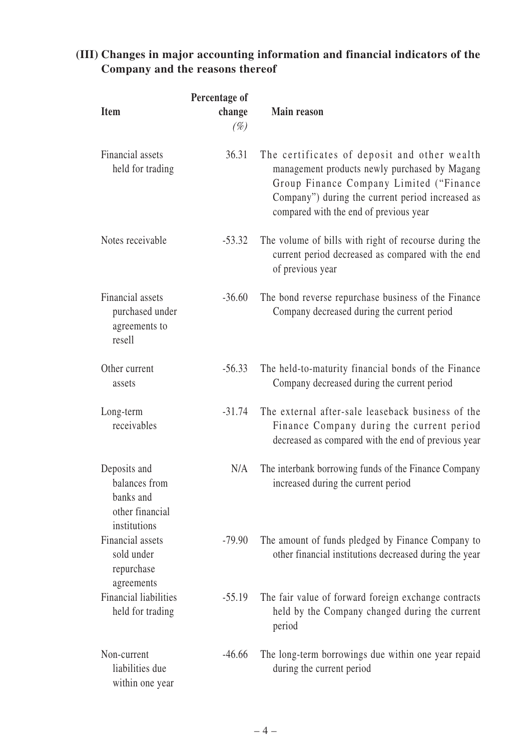# **(III) Changes in major accounting information and financial indicators of the Company and the reasons thereof**

| <b>Item</b>                                                                   | Percentage of<br>change<br>$(\%)$ | <b>Main reason</b>                                                                                                                                                                                                                     |
|-------------------------------------------------------------------------------|-----------------------------------|----------------------------------------------------------------------------------------------------------------------------------------------------------------------------------------------------------------------------------------|
| Financial assets<br>held for trading                                          | 36.31                             | The certificates of deposit and other wealth<br>management products newly purchased by Magang<br>Group Finance Company Limited ("Finance<br>Company") during the current period increased as<br>compared with the end of previous year |
| Notes receivable                                                              | $-53.32$                          | The volume of bills with right of recourse during the<br>current period decreased as compared with the end<br>of previous year                                                                                                         |
| Financial assets<br>purchased under<br>agreements to<br>resell                | $-36.60$                          | The bond reverse repurchase business of the Finance<br>Company decreased during the current period                                                                                                                                     |
| Other current<br>assets                                                       | $-56.33$                          | The held-to-maturity financial bonds of the Finance<br>Company decreased during the current period                                                                                                                                     |
| Long-term<br>receivables                                                      | $-31.74$                          | The external after-sale leaseback business of the<br>Finance Company during the current period<br>decreased as compared with the end of previous year                                                                                  |
| Deposits and<br>balances from<br>banks and<br>other financial<br>institutions | N/A                               | The interbank borrowing funds of the Finance Company<br>increased during the current period                                                                                                                                            |
| Financial assets<br>sold under<br>repurchase<br>agreements                    | $-79.90$                          | The amount of funds pledged by Finance Company to<br>other financial institutions decreased during the year                                                                                                                            |
| <b>Financial liabilities</b><br>held for trading                              | $-55.19$                          | The fair value of forward foreign exchange contracts<br>held by the Company changed during the current<br>period                                                                                                                       |
| Non-current<br>liabilities due<br>within one year                             | $-46.66$                          | The long-term borrowings due within one year repaid<br>during the current period                                                                                                                                                       |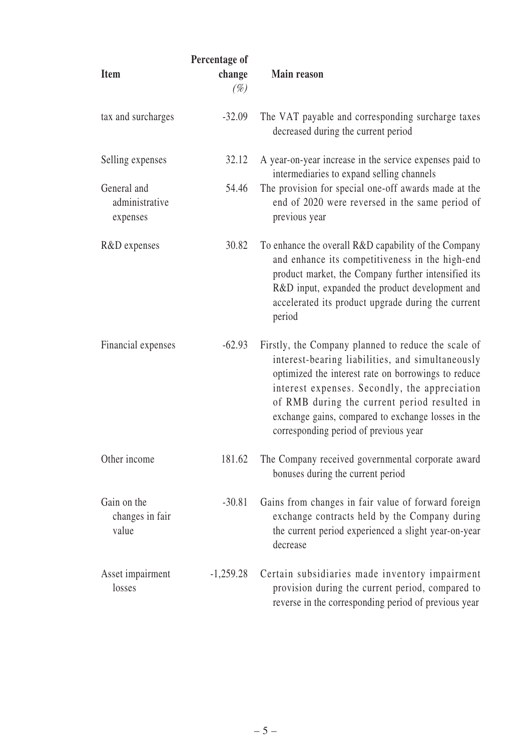| <b>Item</b>                               | Percentage of<br>change<br>$(\%)$ | <b>Main reason</b>                                                                                                                                                                                                                                                                                                                                             |
|-------------------------------------------|-----------------------------------|----------------------------------------------------------------------------------------------------------------------------------------------------------------------------------------------------------------------------------------------------------------------------------------------------------------------------------------------------------------|
| tax and surcharges                        | $-32.09$                          | The VAT payable and corresponding surcharge taxes<br>decreased during the current period                                                                                                                                                                                                                                                                       |
| Selling expenses                          | 32.12                             | A year-on-year increase in the service expenses paid to<br>intermediaries to expand selling channels                                                                                                                                                                                                                                                           |
| General and<br>administrative<br>expenses | 54.46                             | The provision for special one-off awards made at the<br>end of 2020 were reversed in the same period of<br>previous year                                                                                                                                                                                                                                       |
| R&D expenses                              | 30.82                             | To enhance the overall R&D capability of the Company<br>and enhance its competitiveness in the high-end<br>product market, the Company further intensified its<br>R&D input, expanded the product development and<br>accelerated its product upgrade during the current<br>period                                                                              |
| Financial expenses                        | $-62.93$                          | Firstly, the Company planned to reduce the scale of<br>interest-bearing liabilities, and simultaneously<br>optimized the interest rate on borrowings to reduce<br>interest expenses. Secondly, the appreciation<br>of RMB during the current period resulted in<br>exchange gains, compared to exchange losses in the<br>corresponding period of previous year |
| Other income                              | 181.62                            | The Company received governmental corporate award<br>bonuses during the current period                                                                                                                                                                                                                                                                         |
| Gain on the<br>changes in fair<br>value   | $-30.81$                          | Gains from changes in fair value of forward foreign<br>exchange contracts held by the Company during<br>the current period experienced a slight year-on-year<br>decrease                                                                                                                                                                                       |
| Asset impairment<br>losses                | $-1,259.28$                       | Certain subsidiaries made inventory impairment<br>provision during the current period, compared to<br>reverse in the corresponding period of previous year                                                                                                                                                                                                     |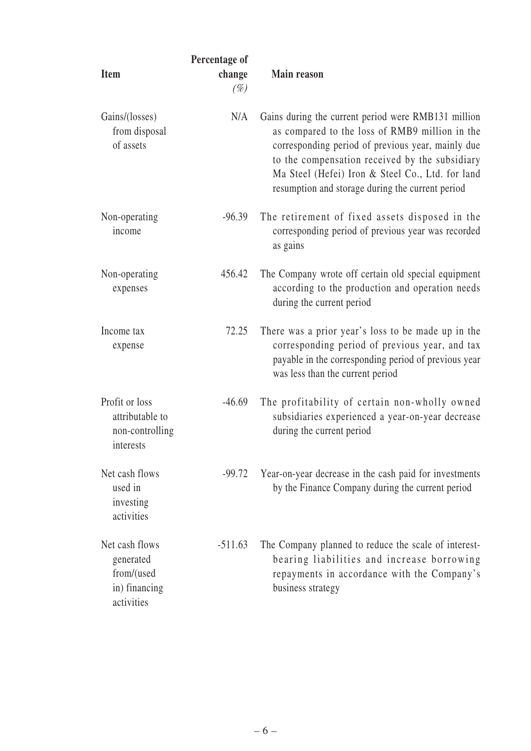| Item                                                                     | Percentage of<br>change<br>$(\%)$ | <b>Main reason</b>                                                                                                                                                                                                                                                                                                   |
|--------------------------------------------------------------------------|-----------------------------------|----------------------------------------------------------------------------------------------------------------------------------------------------------------------------------------------------------------------------------------------------------------------------------------------------------------------|
| Gains/(losses)<br>from disposal<br>of assets                             | N/A                               | Gains during the current period were RMB131 million<br>as compared to the loss of RMB9 million in the<br>corresponding period of previous year, mainly due<br>to the compensation received by the subsidiary<br>Ma Steel (Hefei) Iron & Steel Co., Ltd. for land<br>resumption and storage during the current period |
| Non-operating<br>income                                                  | $-96.39$                          | The retirement of fixed assets disposed in the<br>corresponding period of previous year was recorded<br>as gains                                                                                                                                                                                                     |
| Non-operating<br>expenses                                                | 456.42                            | The Company wrote off certain old special equipment<br>according to the production and operation needs<br>during the current period                                                                                                                                                                                  |
| Income tax<br>expense                                                    | 72.25                             | There was a prior year's loss to be made up in the<br>corresponding period of previous year, and tax<br>payable in the corresponding period of previous year<br>was less than the current period                                                                                                                     |
| Profit or loss<br>attributable to<br>non-controlling<br>interests        | $-46.69$                          | The profitability of certain non-wholly owned<br>subsidiaries experienced a year-on-year decrease<br>during the current period                                                                                                                                                                                       |
| Net cash flows<br>used in<br>investing<br>activities                     | $-99.72$                          | Year-on-year decrease in the cash paid for investments<br>by the Finance Company during the current period                                                                                                                                                                                                           |
| Net cash flows<br>generated<br>from/(used<br>in) financing<br>activities | $-511.63$                         | The Company planned to reduce the scale of interest-<br>bearing liabilities and increase borrowing<br>repayments in accordance with the Company's<br>business strategy                                                                                                                                               |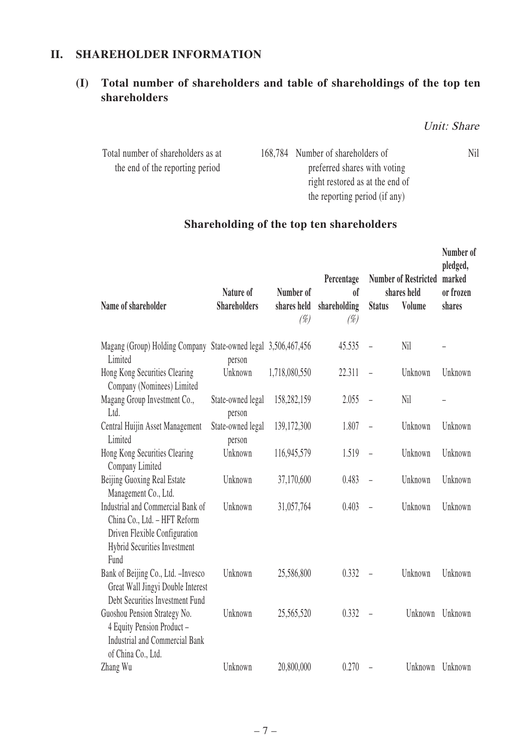## **II. SHAREHOLDER INFORMATION**

# **(I) Total number of shareholders and table of shareholdings of the top ten shareholders**

Unit: Share

| Total number of shareholders as at | 168,784 Number of shareholders of | Nil |
|------------------------------------|-----------------------------------|-----|
| the end of the reporting period    | preferred shares with voting      |     |
|                                    | right restored as at the end of   |     |
|                                    | the reporting period (if any)     |     |

# **Shareholding of the top ten shareholders**

| Name of shareholder                                                                                                                               | Nature of<br><b>Shareholders</b> | Number of<br>shares held<br>$(\%)$ | Percentage<br>0 <sup>f</sup><br>shareholding<br>$(\%)$ | <b>Status</b>            | <b>Number of Restricted</b><br>shares held<br>Volume | Number of<br>pledged,<br>marked<br>or frozen<br>shares |
|---------------------------------------------------------------------------------------------------------------------------------------------------|----------------------------------|------------------------------------|--------------------------------------------------------|--------------------------|------------------------------------------------------|--------------------------------------------------------|
| Magang (Group) Holding Company State-owned legal 3,506,467,456<br>Limited                                                                         | person                           |                                    | 45.535                                                 | $\equiv$                 | Nil                                                  |                                                        |
| Hong Kong Securities Clearing<br>Company (Nominees) Limited                                                                                       | Unknown                          | 1,718,080,550                      | 22.311                                                 | $\equiv$                 | Unknown                                              | Unknown                                                |
| Magang Group Investment Co.,<br>Ltd.                                                                                                              | State-owned legal<br>person      | 158,282,159                        | 2.055                                                  | $\equiv$                 | Nil                                                  |                                                        |
| Central Huijin Asset Management<br>Limited                                                                                                        | State-owned legal<br>person      | 139,172,300                        | 1.807                                                  | $\frac{1}{2}$            | Unknown                                              | Unknown                                                |
| Hong Kong Securities Clearing<br>Company Limited                                                                                                  | Unknown                          | 116,945,579                        | 1.519                                                  | $\overline{\phantom{a}}$ | Unknown                                              | Unknown                                                |
| Beijing Guoxing Real Estate<br>Management Co., Ltd.                                                                                               | Unknown                          | 37,170,600                         | 0.483                                                  | $\equiv$                 | Unknown                                              | Unknown                                                |
| Industrial and Commercial Bank of<br>China Co., Ltd. - HFT Reform<br>Driven Flexible Configuration<br><b>Hybrid Securities Investment</b><br>Fund | Unknown                          | 31,057,764                         | 0.403                                                  | $\overline{a}$           | Unknown                                              | Unknown                                                |
| Bank of Beijing Co., Ltd. - Invesco<br>Great Wall Jingyi Double Interest<br>Debt Securities Investment Fund                                       | Unknown                          | 25,586,800                         | 0.332                                                  | $\overline{a}$           | Unknown                                              | Unknown                                                |
| Guoshou Pension Strategy No.<br>4 Equity Pension Product -<br><b>Industrial and Commercial Bank</b><br>of China Co., Ltd.                         | Unknown                          | 25,565,520                         | 0.332                                                  | $\overline{\phantom{0}}$ | Unknown                                              | Unknown                                                |
| Zhang Wu                                                                                                                                          | Unknown                          | 20,800,000                         | 0.270                                                  | $\overline{a}$           | Unknown                                              | Unknown                                                |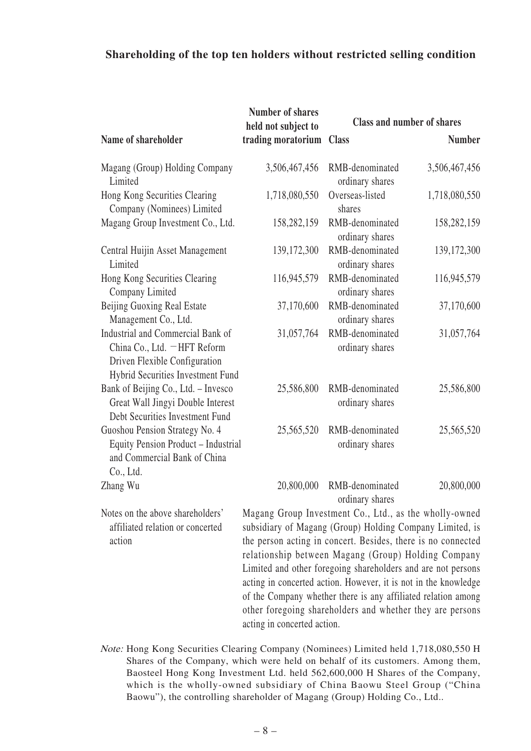#### **Shareholding of the top ten holders without restricted selling condition**

|                                                                                                                                         | <b>Number of shares</b><br>held not subject to                                                                                                                                                                                            |                                    | <b>Class and number of shares</b> |
|-----------------------------------------------------------------------------------------------------------------------------------------|-------------------------------------------------------------------------------------------------------------------------------------------------------------------------------------------------------------------------------------------|------------------------------------|-----------------------------------|
| Name of shareholder                                                                                                                     | trading moratorium                                                                                                                                                                                                                        | <b>Class</b>                       | <b>Number</b>                     |
| Magang (Group) Holding Company<br>Limited                                                                                               | 3,506,467,456                                                                                                                                                                                                                             | RMB-denominated<br>ordinary shares | 3,506,467,456                     |
| Hong Kong Securities Clearing<br>Company (Nominees) Limited                                                                             | 1,718,080,550                                                                                                                                                                                                                             | Overseas-listed<br>shares          | 1,718,080,550                     |
| Magang Group Investment Co., Ltd.                                                                                                       | 158,282,159                                                                                                                                                                                                                               | RMB-denominated<br>ordinary shares | 158,282,159                       |
| Central Huijin Asset Management<br>Limited                                                                                              | 139,172,300                                                                                                                                                                                                                               | RMB-denominated<br>ordinary shares | 139,172,300                       |
| Hong Kong Securities Clearing<br>Company Limited                                                                                        | 116,945,579                                                                                                                                                                                                                               | RMB-denominated<br>ordinary shares | 116,945,579                       |
| Beijing Guoxing Real Estate<br>Management Co., Ltd.                                                                                     | 37,170,600                                                                                                                                                                                                                                | RMB-denominated<br>ordinary shares | 37,170,600                        |
| Industrial and Commercial Bank of<br>China Co., Ltd. - HFT Reform<br>Driven Flexible Configuration<br>Hybrid Securities Investment Fund | 31,057,764                                                                                                                                                                                                                                | RMB-denominated<br>ordinary shares | 31,057,764                        |
| Bank of Beijing Co., Ltd. - Invesco<br>Great Wall Jingyi Double Interest<br>Debt Securities Investment Fund                             | 25,586,800                                                                                                                                                                                                                                | RMB-denominated<br>ordinary shares | 25,586,800                        |
| Guoshou Pension Strategy No. 4<br>Equity Pension Product - Industrial<br>and Commercial Bank of China<br>Co., Ltd.                      | 25,565,520                                                                                                                                                                                                                                | RMB-denominated<br>ordinary shares | 25,565,520                        |
| Zhang Wu                                                                                                                                | 20,800,000                                                                                                                                                                                                                                | RMB-denominated<br>ordinary shares | 20,800,000                        |
| Notes on the above shareholders'<br>affiliated relation or concerted<br>action                                                          | Magang Group Investment Co., Ltd., as the wholly-owned<br>subsidiary of Magang (Group) Holding Company Limited, is<br>the person acting in concert. Besides, there is no connected<br>relationship between Magang (Group) Holding Company |                                    |                                   |

of the Company whether there is any affiliated relation among other foregoing shareholders and whether they are persons acting in concerted action. Note: Hong Kong Securities Clearing Company (Nominees) Limited held 1,718,080,550 H Shares of the Company, which were held on behalf of its customers. Among them, Baosteel Hong Kong Investment Ltd. held 562,600,000 H Shares of the Company, which is the wholly-owned subsidiary of China Baowu Steel Group ("China

Limited and other foregoing shareholders and are not persons acting in concerted action. However, it is not in the knowledge

– 8 –

Baowu"), the controlling shareholder of Magang (Group) Holding Co., Ltd..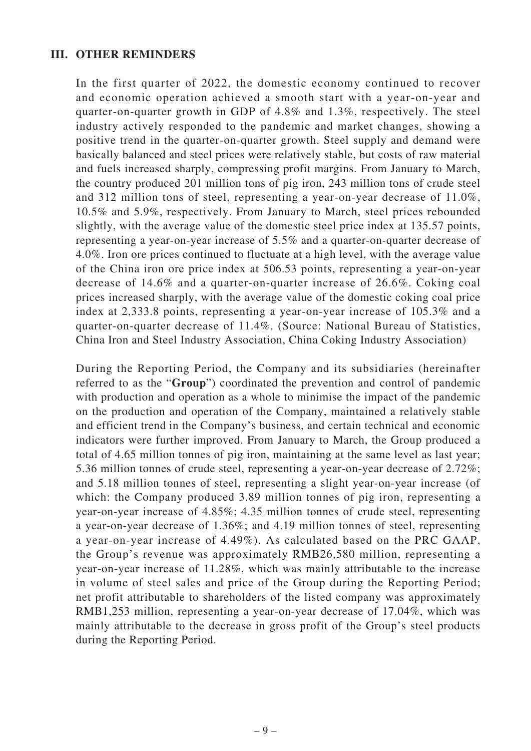#### **III. OTHER REMINDERS**

In the first quarter of 2022, the domestic economy continued to recover and economic operation achieved a smooth start with a year-on-year and quarter-on-quarter growth in GDP of 4.8% and 1.3%, respectively. The steel industry actively responded to the pandemic and market changes, showing a positive trend in the quarter-on-quarter growth. Steel supply and demand were basically balanced and steel prices were relatively stable, but costs of raw material and fuels increased sharply, compressing profit margins. From January to March, the country produced 201 million tons of pig iron, 243 million tons of crude steel and 312 million tons of steel, representing a year-on-year decrease of 11.0%, 10.5% and 5.9%, respectively. From January to March, steel prices rebounded slightly, with the average value of the domestic steel price index at 135.57 points, representing a year-on-year increase of 5.5% and a quarter-on-quarter decrease of 4.0%. Iron ore prices continued to fluctuate at a high level, with the average value of the China iron ore price index at 506.53 points, representing a year-on-year decrease of 14.6% and a quarter-on-quarter increase of 26.6%. Coking coal prices increased sharply, with the average value of the domestic coking coal price index at 2,333.8 points, representing a year-on-year increase of 105.3% and a quarter-on-quarter decrease of 11.4%. (Source: National Bureau of Statistics, China Iron and Steel Industry Association, China Coking Industry Association)

During the Reporting Period, the Company and its subsidiaries (hereinafter referred to as the "**Group**") coordinated the prevention and control of pandemic with production and operation as a whole to minimise the impact of the pandemic on the production and operation of the Company, maintained a relatively stable and efficient trend in the Company's business, and certain technical and economic indicators were further improved. From January to March, the Group produced a total of 4.65 million tonnes of pig iron, maintaining at the same level as last year; 5.36 million tonnes of crude steel, representing a year-on-year decrease of 2.72%; and 5.18 million tonnes of steel, representing a slight year-on-year increase (of which: the Company produced 3.89 million tonnes of pig iron, representing a year-on-year increase of 4.85%; 4.35 million tonnes of crude steel, representing a year-on-year decrease of 1.36%; and 4.19 million tonnes of steel, representing a year-on-year increase of 4.49%). As calculated based on the PRC GAAP, the Group's revenue was approximately RMB26,580 million, representing a year-on-year increase of 11.28%, which was mainly attributable to the increase in volume of steel sales and price of the Group during the Reporting Period; net profit attributable to shareholders of the listed company was approximately RMB1,253 million, representing a year-on-year decrease of 17.04%, which was mainly attributable to the decrease in gross profit of the Group's steel products during the Reporting Period.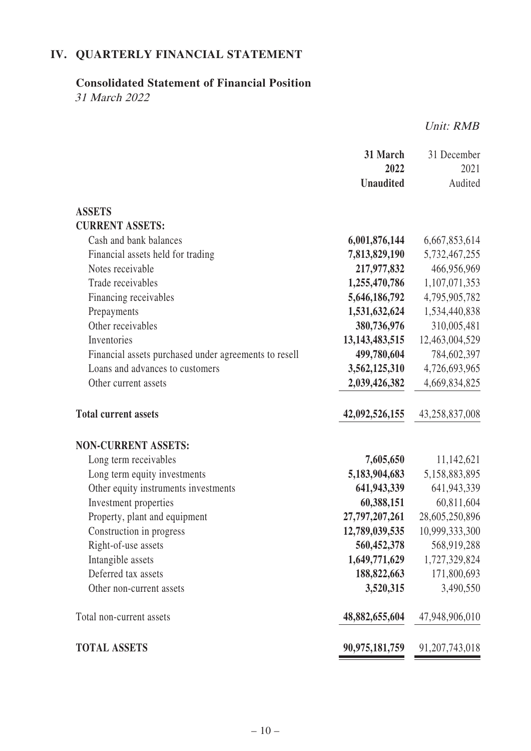# **IV. QUARTERLY FINANCIAL STATEMENT**

# **Consolidated Statement of Financial Position**

31 March 2022

Unit: RMB

|                                                       | 31 March<br>2022  | 31 December<br>2021 |
|-------------------------------------------------------|-------------------|---------------------|
|                                                       | <b>Unaudited</b>  | Audited             |
|                                                       |                   |                     |
| <b>ASSETS</b>                                         |                   |                     |
| <b>CURRENT ASSETS:</b>                                |                   |                     |
| Cash and bank balances                                | 6,001,876,144     | 6,667,853,614       |
| Financial assets held for trading                     | 7,813,829,190     | 5,732,467,255       |
| Notes receivable                                      | 217,977,832       | 466,956,969         |
| Trade receivables                                     | 1,255,470,786     | 1,107,071,353       |
| Financing receivables                                 | 5,646,186,792     | 4,795,905,782       |
| Prepayments                                           | 1,531,632,624     | 1,534,440,838       |
| Other receivables                                     | 380,736,976       | 310,005,481         |
| Inventories                                           | 13, 143, 483, 515 | 12,463,004,529      |
| Financial assets purchased under agreements to resell | 499,780,604       | 784,602,397         |
| Loans and advances to customers                       | 3,562,125,310     | 4,726,693,965       |
| Other current assets                                  | 2,039,426,382     | 4,669,834,825       |
| <b>Total current assets</b>                           | 42,092,526,155    | 43,258,837,008      |
| <b>NON-CURRENT ASSETS:</b>                            |                   |                     |
| Long term receivables                                 | 7,605,650         | 11,142,621          |
| Long term equity investments                          | 5,183,904,683     | 5,158,883,895       |
| Other equity instruments investments                  | 641,943,339       | 641,943,339         |
| Investment properties                                 | 60,388,151        | 60,811,604          |
| Property, plant and equipment                         | 27,797,207,261    | 28,605,250,896      |
| Construction in progress                              | 12,789,039,535    | 10,999,333,300      |
| Right-of-use assets                                   | 560,452,378       | 568,919,288         |
| Intangible assets                                     | 1,649,771,629     | 1,727,329,824       |
| Deferred tax assets                                   | 188,822,663       | 171,800,693         |
| Other non-current assets                              | 3,520,315         | 3,490,550           |
| Total non-current assets                              | 48,882,655,604    | 47,948,906,010      |
| <b>TOTAL ASSETS</b>                                   | 90,975,181,759    | 91, 207, 743, 018   |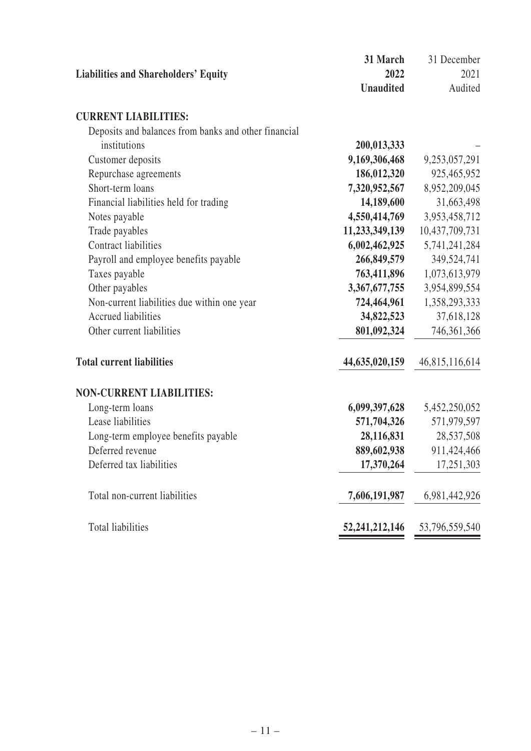|                                                      | 31 March          | 31 December    |
|------------------------------------------------------|-------------------|----------------|
| <b>Liabilities and Shareholders' Equity</b>          | 2022              | 2021           |
|                                                      | <b>Unaudited</b>  | Audited        |
| <b>CURRENT LIABILITIES:</b>                          |                   |                |
| Deposits and balances from banks and other financial |                   |                |
| institutions                                         | 200,013,333       |                |
| Customer deposits                                    | 9,169,306,468     | 9,253,057,291  |
| Repurchase agreements                                | 186,012,320       | 925,465,952    |
| Short-term loans                                     | 7,320,952,567     | 8,952,209,045  |
| Financial liabilities held for trading               | 14,189,600        | 31,663,498     |
| Notes payable                                        | 4,550,414,769     | 3,953,458,712  |
| Trade payables                                       | 11,233,349,139    | 10,437,709,731 |
| <b>Contract liabilities</b>                          | 6,002,462,925     | 5,741,241,284  |
| Payroll and employee benefits payable                | 266,849,579       | 349,524,741    |
| Taxes payable                                        | 763,411,896       | 1,073,613,979  |
| Other payables                                       | 3,367,677,755     | 3,954,899,554  |
| Non-current liabilities due within one year          | 724,464,961       | 1,358,293,333  |
| <b>Accrued liabilities</b>                           | 34,822,523        | 37,618,128     |
| Other current liabilities                            | 801,092,324       | 746, 361, 366  |
| <b>Total current liabilities</b>                     | 44,635,020,159    | 46,815,116,614 |
| <b>NON-CURRENT LIABILITIES:</b>                      |                   |                |
| Long-term loans                                      | 6,099,397,628     | 5,452,250,052  |
| Lease liabilities                                    | 571,704,326       | 571,979,597    |
| Long-term employee benefits payable                  | 28,116,831        | 28,537,508     |
| Deferred revenue                                     | 889,602,938       | 911,424,466    |
| Deferred tax liabilities                             | 17,370,264        | 17,251,303     |
| Total non-current liabilities                        | 7,606,191,987     | 6,981,442,926  |
| Total liabilities                                    | 52, 241, 212, 146 | 53,796,559,540 |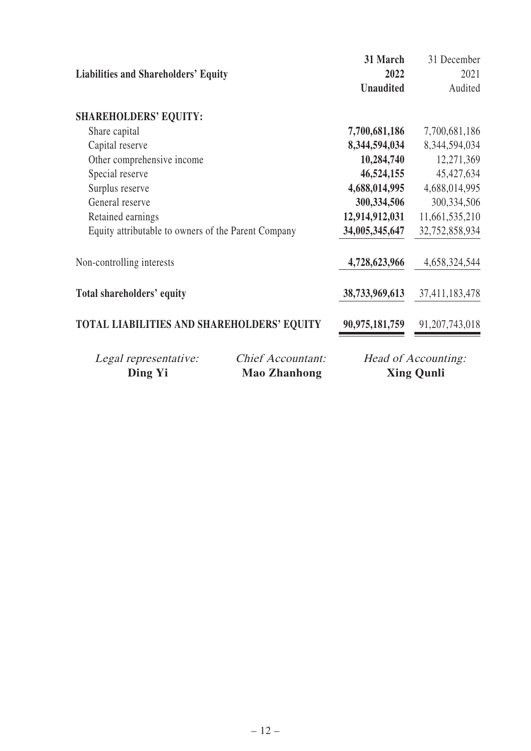|                                                     |                          | 31 March         | 31 December         |
|-----------------------------------------------------|--------------------------|------------------|---------------------|
| <b>Liabilities and Shareholders' Equity</b>         |                          | 2022             | 2021                |
|                                                     |                          | <b>Unaudited</b> | Audited             |
| <b>SHAREHOLDERS' EQUITY:</b>                        |                          |                  |                     |
| Share capital                                       |                          | 7,700,681,186    | 7,700,681,186       |
| Capital reserve                                     |                          | 8,344,594,034    | 8,344,594,034       |
| Other comprehensive income                          |                          | 10,284,740       | 12,271,369          |
| Special reserve                                     |                          | 46,524,155       | 45, 427, 634        |
| Surplus reserve                                     |                          | 4,688,014,995    | 4,688,014,995       |
| General reserve                                     |                          | 300, 334, 506    | 300, 334, 506       |
| Retained earnings                                   |                          | 12,914,912,031   | 11,661,535,210      |
| Equity attributable to owners of the Parent Company |                          | 34,005,345,647   | 32,752,858,934      |
| Non-controlling interests                           |                          | 4,728,623,966    | 4,658,324,544       |
| Total shareholders' equity                          |                          | 38,733,969,613   | 37,411,183,478      |
| TOTAL LIABILITIES AND SHAREHOLDERS' EQUITY          |                          | 90,975,181,759   | 91, 207, 743, 018   |
| Legal representative:                               | <b>Chief Accountant:</b> |                  | Head of Accounting: |
| <b>Ding Yi</b>                                      | <b>Mao Zhanhong</b>      |                  | <b>Xing Qunli</b>   |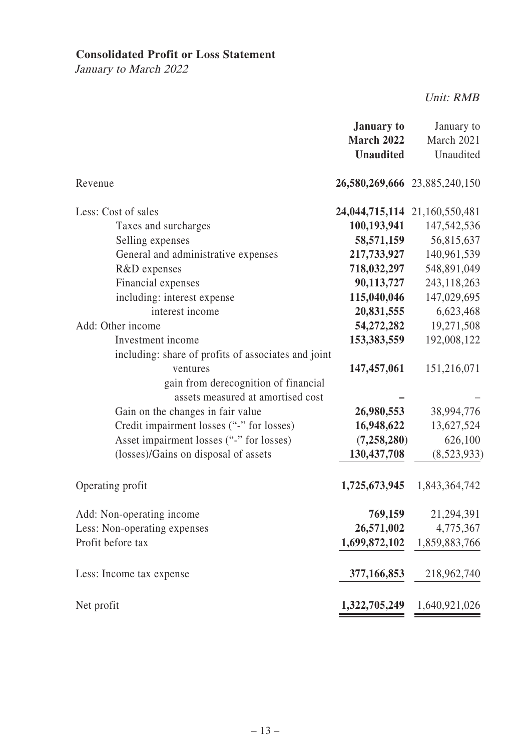## **Consolidated Profit or Loss Statement**

January to March 2022

Unit: RMB

|                                                                                                                                                                                                                                                                                                                                                     | <b>January to</b><br><b>March 2022</b><br><b>Unaudited</b>                                                                                                                      | January to<br>March 2021<br>Unaudited                                                                                                          |
|-----------------------------------------------------------------------------------------------------------------------------------------------------------------------------------------------------------------------------------------------------------------------------------------------------------------------------------------------------|---------------------------------------------------------------------------------------------------------------------------------------------------------------------------------|------------------------------------------------------------------------------------------------------------------------------------------------|
| Revenue                                                                                                                                                                                                                                                                                                                                             | 26,580,269,666 23,885,240,150                                                                                                                                                   |                                                                                                                                                |
| Less: Cost of sales<br>Taxes and surcharges<br>Selling expenses<br>General and administrative expenses<br>R&D expenses<br>Financial expenses<br>including: interest expense<br>interest income<br>Add: Other income<br>Investment income<br>including: share of profits of associates and joint<br>ventures<br>gain from derecognition of financial | 24,044,715,114 21,160,550,481<br>100,193,941<br>58,571,159<br>217,733,927<br>718,032,297<br>90,113,727<br>115,040,046<br>20,831,555<br>54,272,282<br>153,383,559<br>147,457,061 | 147,542,536<br>56,815,637<br>140,961,539<br>548,891,049<br>243,118,263<br>147,029,695<br>6,623,468<br>19,271,508<br>192,008,122<br>151,216,071 |
| assets measured at amortised cost<br>Gain on the changes in fair value<br>Credit impairment losses ("-" for losses)<br>Asset impairment losses ("-" for losses)<br>(losses)/Gains on disposal of assets                                                                                                                                             | 26,980,553<br>16,948,622<br>(7, 258, 280)<br>130,437,708                                                                                                                        | 38,994,776<br>13,627,524<br>626,100<br>(8,523,933)                                                                                             |
| Operating profit                                                                                                                                                                                                                                                                                                                                    | 1,725,673,945                                                                                                                                                                   | 1,843,364,742                                                                                                                                  |
| Add: Non-operating income<br>Less: Non-operating expenses<br>Profit before tax                                                                                                                                                                                                                                                                      | 769,159<br>26,571,002<br>1,699,872,102                                                                                                                                          | 21,294,391<br>4,775,367<br>1,859,883,766                                                                                                       |
| Less: Income tax expense                                                                                                                                                                                                                                                                                                                            | 377,166,853                                                                                                                                                                     | 218,962,740                                                                                                                                    |
| Net profit                                                                                                                                                                                                                                                                                                                                          | 1,322,705,249                                                                                                                                                                   | 1,640,921,026                                                                                                                                  |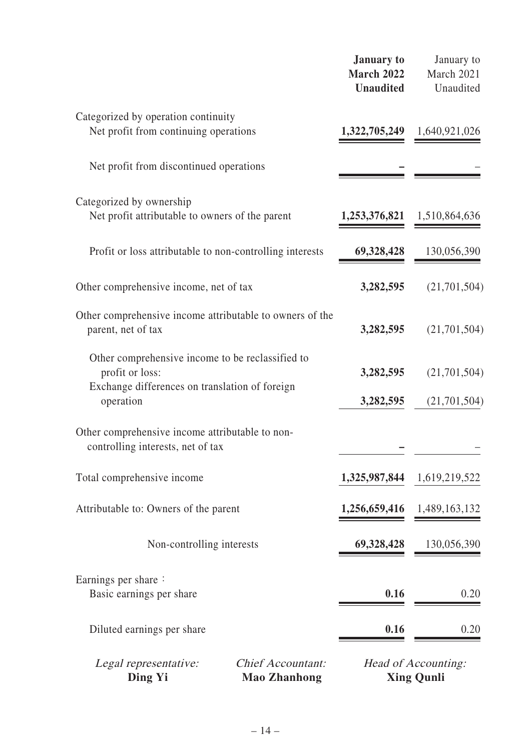|                                                                                                                                    |                                                 | <b>January</b> to<br><b>March 2022</b><br><b>Unaudited</b> | January to<br>March 2021<br>Unaudited    |
|------------------------------------------------------------------------------------------------------------------------------------|-------------------------------------------------|------------------------------------------------------------|------------------------------------------|
| Categorized by operation continuity<br>Net profit from continuing operations                                                       |                                                 | 1,322,705,249                                              | 1,640,921,026                            |
| Net profit from discontinued operations                                                                                            |                                                 |                                                            |                                          |
| Categorized by ownership<br>Net profit attributable to owners of the parent                                                        |                                                 | 1,253,376,821                                              | 1,510,864,636                            |
| Profit or loss attributable to non-controlling interests                                                                           |                                                 | 69,328,428                                                 | 130,056,390                              |
| Other comprehensive income, net of tax                                                                                             |                                                 | 3,282,595                                                  | (21,701,504)                             |
| Other comprehensive income attributable to owners of the<br>parent, net of tax                                                     |                                                 | 3,282,595                                                  | (21,701,504)                             |
| Other comprehensive income to be reclassified to<br>profit or loss:<br>Exchange differences on translation of foreign<br>operation |                                                 | 3,282,595<br>3,282,595                                     | (21,701,504)<br>(21, 701, 504)           |
| Other comprehensive income attributable to non-<br>controlling interests, net of tax                                               |                                                 |                                                            |                                          |
| Total comprehensive income                                                                                                         |                                                 | 1,325,987,844                                              | 1,619,219,522                            |
| Attributable to: Owners of the parent                                                                                              |                                                 | 1,256,659,416                                              | 1,489,163,132                            |
| Non-controlling interests                                                                                                          |                                                 | 69,328,428                                                 | 130,056,390                              |
| Earnings per share:<br>Basic earnings per share                                                                                    |                                                 | 0.16                                                       | 0.20                                     |
| Diluted earnings per share                                                                                                         |                                                 | 0.16                                                       | 0.20                                     |
| Legal representative:<br>Ding Yi                                                                                                   | <b>Chief Accountant:</b><br><b>Mao Zhanhong</b> |                                                            | Head of Accounting:<br><b>Xing Qunli</b> |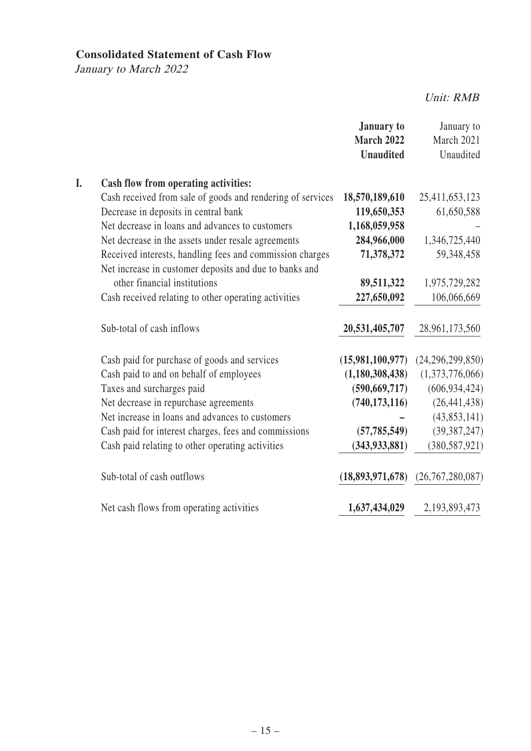## **Consolidated Statement of Cash Flow**

January to March 2022

Unit: RMB

|    |                                                            | <b>January to</b><br>March 2022<br><b>Unaudited</b> | January to<br>March 2021<br>Unaudited |
|----|------------------------------------------------------------|-----------------------------------------------------|---------------------------------------|
| I. | Cash flow from operating activities:                       |                                                     |                                       |
|    | Cash received from sale of goods and rendering of services | 18,570,189,610                                      | 25,411,653,123                        |
|    | Decrease in deposits in central bank                       | 119,650,353                                         | 61,650,588                            |
|    | Net decrease in loans and advances to customers            | 1,168,059,958                                       |                                       |
|    | Net decrease in the assets under resale agreements         | 284,966,000                                         | 1,346,725,440                         |
|    | Received interests, handling fees and commission charges   | 71,378,372                                          | 59,348,458                            |
|    | Net increase in customer deposits and due to banks and     |                                                     |                                       |
|    | other financial institutions                               | 89,511,322                                          | 1,975,729,282                         |
|    | Cash received relating to other operating activities       | 227,650,092                                         | 106,066,669                           |
|    | Sub-total of cash inflows                                  | 20,531,405,707                                      | 28,961,173,560                        |
|    | Cash paid for purchase of goods and services               | (15,981,100,977)                                    | (24, 296, 299, 850)                   |
|    | Cash paid to and on behalf of employees                    | (1,180,308,438)                                     | (1,373,776,066)                       |
|    | Taxes and surcharges paid                                  | (590, 669, 717)                                     | (606, 934, 424)                       |
|    | Net decrease in repurchase agreements                      | (740, 173, 116)                                     | (26, 441, 438)                        |
|    | Net increase in loans and advances to customers            |                                                     | (43,853,141)                          |
|    | Cash paid for interest charges, fees and commissions       | (57, 785, 549)                                      | (39, 387, 247)                        |
|    | Cash paid relating to other operating activities           | (343, 933, 881)                                     | (380, 587, 921)                       |
|    | Sub-total of cash outflows                                 | (18,893,971,678)                                    | (26, 767, 280, 087)                   |
|    | Net cash flows from operating activities                   | 1,637,434,029                                       | 2,193,893,473                         |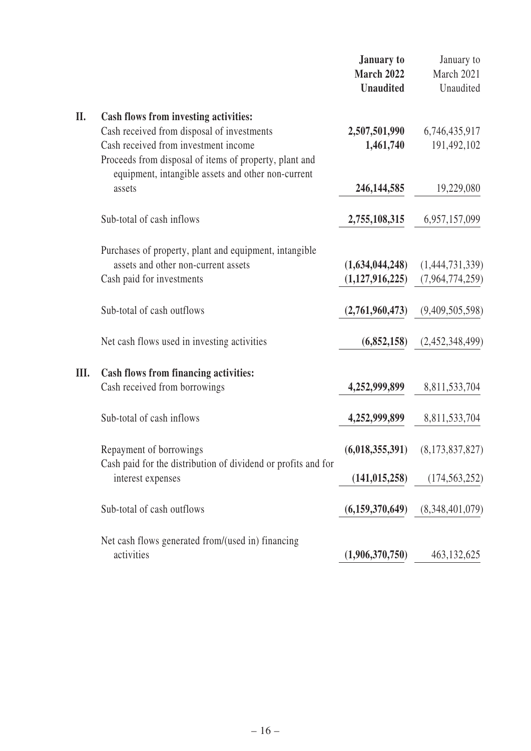|      |                                                                                                                                                      | <b>January to</b><br><b>March 2022</b><br><b>Unaudited</b> | January to<br>March 2021<br>Unaudited |
|------|------------------------------------------------------------------------------------------------------------------------------------------------------|------------------------------------------------------------|---------------------------------------|
| II.  | Cash flows from investing activities:                                                                                                                |                                                            |                                       |
|      | Cash received from disposal of investments                                                                                                           | 2,507,501,990                                              | 6,746,435,917                         |
|      | Cash received from investment income<br>Proceeds from disposal of items of property, plant and<br>equipment, intangible assets and other non-current | 1,461,740                                                  | 191,492,102                           |
|      | assets                                                                                                                                               | 246, 144, 585                                              | 19,229,080                            |
|      | Sub-total of cash inflows                                                                                                                            | 2,755,108,315                                              | 6,957,157,099                         |
|      | Purchases of property, plant and equipment, intangible                                                                                               |                                                            |                                       |
|      | assets and other non-current assets                                                                                                                  | (1,634,044,248)                                            | (1,444,731,339)                       |
|      | Cash paid for investments                                                                                                                            | (1,127,916,225)                                            | (7,964,774,259)                       |
|      | Sub-total of cash outflows                                                                                                                           | (2,761,960,473)                                            | (9,409,505,598)                       |
|      | Net cash flows used in investing activities                                                                                                          | (6,852,158)                                                | (2,452,348,499)                       |
| III. | Cash flows from financing activities:                                                                                                                |                                                            |                                       |
|      | Cash received from borrowings                                                                                                                        | 4,252,999,899                                              | 8,811,533,704                         |
|      | Sub-total of cash inflows                                                                                                                            | 4,252,999,899                                              | 8,811,533,704                         |
|      | Repayment of borrowings                                                                                                                              | (6,018,355,391)                                            | (8,173,837,827)                       |
|      | Cash paid for the distribution of dividend or profits and for<br>interest expenses                                                                   | (141, 015, 258)                                            | (174, 563, 252)                       |
|      | Sub-total of cash outflows                                                                                                                           | (6,159,370,649)                                            | (8,348,401,079)                       |
|      | Net cash flows generated from/(used in) financing                                                                                                    |                                                            |                                       |
|      | activities                                                                                                                                           | (1,906,370,750)                                            | 463, 132, 625                         |